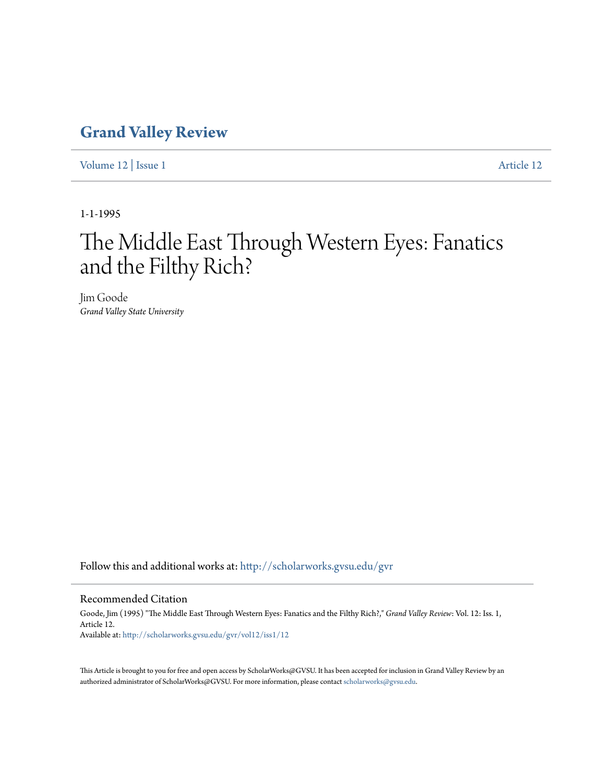## **[Grand Valley Review](http://scholarworks.gvsu.edu/gvr?utm_source=scholarworks.gvsu.edu%2Fgvr%2Fvol12%2Fiss1%2F12&utm_medium=PDF&utm_campaign=PDFCoverPages)**

[Volume 12](http://scholarworks.gvsu.edu/gvr/vol12?utm_source=scholarworks.gvsu.edu%2Fgvr%2Fvol12%2Fiss1%2F12&utm_medium=PDF&utm_campaign=PDFCoverPages) | [Issue 1](http://scholarworks.gvsu.edu/gvr/vol12/iss1?utm_source=scholarworks.gvsu.edu%2Fgvr%2Fvol12%2Fiss1%2F12&utm_medium=PDF&utm_campaign=PDFCoverPages) [Article 12](http://scholarworks.gvsu.edu/gvr/vol12/iss1/12?utm_source=scholarworks.gvsu.edu%2Fgvr%2Fvol12%2Fiss1%2F12&utm_medium=PDF&utm_campaign=PDFCoverPages)

1-1-1995

# The Middle East Through Western Eyes: Fanatics and the Filthy Rich?

Jim Goode *Grand Valley State University*

Follow this and additional works at: [http://scholarworks.gvsu.edu/gvr](http://scholarworks.gvsu.edu/gvr?utm_source=scholarworks.gvsu.edu%2Fgvr%2Fvol12%2Fiss1%2F12&utm_medium=PDF&utm_campaign=PDFCoverPages)

### Recommended Citation

Goode, Jim (1995) "The Middle East Through Western Eyes: Fanatics and the Filthy Rich?," *Grand Valley Review*: Vol. 12: Iss. 1, Article 12. Available at: [http://scholarworks.gvsu.edu/gvr/vol12/iss1/12](http://scholarworks.gvsu.edu/gvr/vol12/iss1/12?utm_source=scholarworks.gvsu.edu%2Fgvr%2Fvol12%2Fiss1%2F12&utm_medium=PDF&utm_campaign=PDFCoverPages)

This Article is brought to you for free and open access by ScholarWorks@GVSU. It has been accepted for inclusion in Grand Valley Review by an authorized administrator of ScholarWorks@GVSU. For more information, please contact [scholarworks@gvsu.edu.](mailto:scholarworks@gvsu.edu)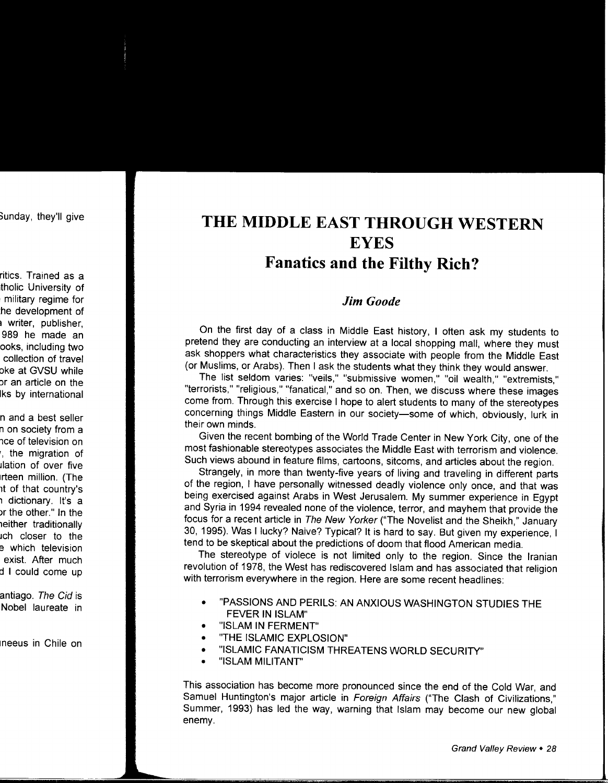## **THE MIDDLE EAST THROUGH WESTERN EYES Fanatics and the Filthy Rich?**

## *Jim Goode*

On the first day of a class in Middle East history, I often ask my students to pretend they are conducting an interview at a local shopping mall, where they must ask shoppers what characteristics they associate with people from the Middle East (or Muslims, or Arabs). Then I ask the students what they think they would answer.

The list seldom varies: "veils," "submissive women," "oil wealth," "extremists," "terrorists," "religious," "fanatical," and so on. Then, we discuss where these images come from. Through this exercise I hope to alert students to many of the stereotypes concerning things Middle Eastern in our society-some of which, obviously, lurk in their own minds.

Given the recent bombing of the World Trade Center in New York City, one of the most fashionable stereotypes associates the Middle East with terrorism and violence. Such views abound in feature films, cartoons, sitcoms, and articles about the region.

Strangely, in more than twenty-five years of living and traveling in different parts of the region, I have personally witnessed deadly violence only once, and that was being exercised against Arabs in West Jerusalem. My summer experience in Egypt and Syria in 1994 revealed none of the violence, terror, and mayhem that provide the focus for a recent article in The New Yorker ("The Novelist and the Sheikh," January 30, 1995). Was I lucky? Naive? Typical? It is hard to say. But given my experience, I tend to be skeptical about the predictions of doom that flood American media.

The stereotype of violece is not limited only to the region. Since the Iranian revolution of 1978, the West has rediscovered Islam and has associated that religion with terrorism everywhere in the region. Here are some recent headlines:

- "PASSIONS AND PERILS: AN ANXIOUS WASHINGTON STUDIES THE FEVER IN ISLAM"
- "ISLAM IN FERMENT"
- "THE ISLAMIC EXPLOSION"
- "ISLAMIC FANATICISM THREATENS WORLD SECURITY"
- "ISLAM MILITANT"

This association has become more pronounced since the end of the Cold War, and Samuel Huntington's major article in Foreign Affairs ("The Clash of Civilizations," Summer, 1993) has led the way, warning that Islam may become our new global enemy.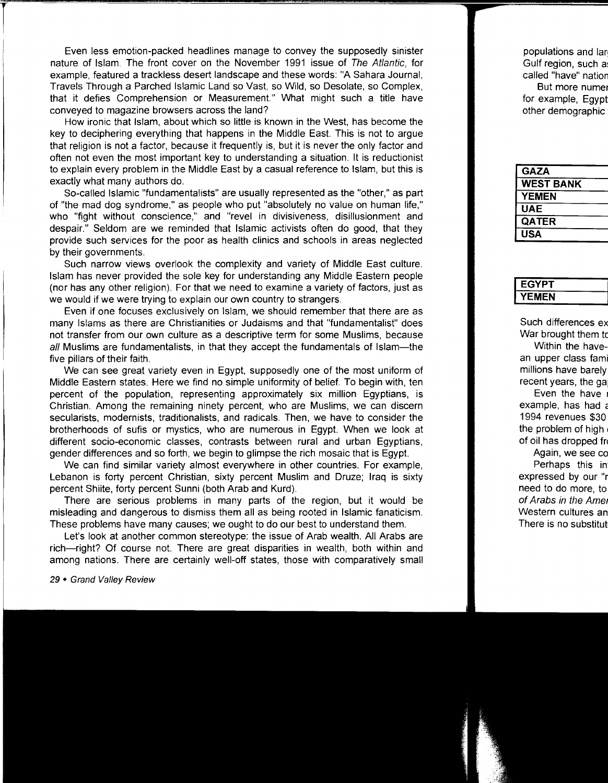Even less emotion-packed headlines manage to convey the supposedly sinister nature of Islam. The front cover on the November 1991 issue of The Atlantic, for example, featured a trackless desert landscape and these words: "A Sahara Journal, Travels Through a Parched Islamic Land so Vast, so Wild, so Desolate, so Complex, that it defies Comprehension or Measurement." What might such a title have conveyed to magazine browsers across the land?

How ironic that Islam, about which so little is known in the West, has become the key to deciphering everything that happens in the Middle East. This is not to argue that religion is not a factor, because it frequently is, but it is never the only factor and often not even the most important key to understanding a situation. It is reductionist to explain every problem in the Middle East by a casual reference to Islam, but this is exactly what many authors do.

So-called Islamic "fundamentalists" are usually represented as the "other," as part of "the mad dog syndrome," as people who put "absolutely no value on human life," who "fight without conscience," and "revel in divisiveness, disillusionment and despair." Seldom are we reminded that Islamic activists often do good, that they provide such services for the poor as health clinics and schools in areas neglected by their governments.

Such narrow views overlook the complexity and variety of Middle East culture. Islam has never provided the sole key for understanding any Middle Eastern people (nor has any other religion). For that we need to examine a variety of factors, just as we would if we were trying to explain our own country to strangers.

Even if one focuses exclusively on Islam, we should remember that there are as many !slams as there are Christianities or Judaisms and that "fundamentalist" does not transfer from our own culture as a descriptive term for some Muslims, because all Muslims are fundamentalists, in that they accept the fundamentals of Islam—the five pillars of their faith.

We can see great variety even in Egypt, supposedly one of the most uniform of Middle Eastern states. Here we find no simple uniformity of belief. To begin with, ten percent of the population, representing approximately six million Egyptians, is Christian. Among the remaining ninety percent, who are Muslims, we can discern secularists, modernists, traditionalists, and radicals. Then, we have to consider the brotherhoods of sufis or mystics, who are numerous in Egypt. When we look at different socio-economic classes, contrasts between rural and urban Egyptians, gender differences and so forth, we begin to glimpse the rich mosaic that is Egypt.

We can find similar variety almost everywhere in other countries. For example, Lebanon is forty percent Christian, sixty percent Muslim and Druze; Iraq is sixty percent Shiite, forty percent Sunni (both Arab and Kurd).

There are serious problems in many parts of the region, but it would be misleading and dangerous to dismiss them all as being rooted in Islamic fanaticism. These problems have many causes; we ought to do our best to understand them.

Let's look at another common stereotype: the issue of Arab wealth. All Arabs are rich-right? Of course not. There are great disparities in wealth, both within and among nations. There are certainly well-off states, those with comparatively small